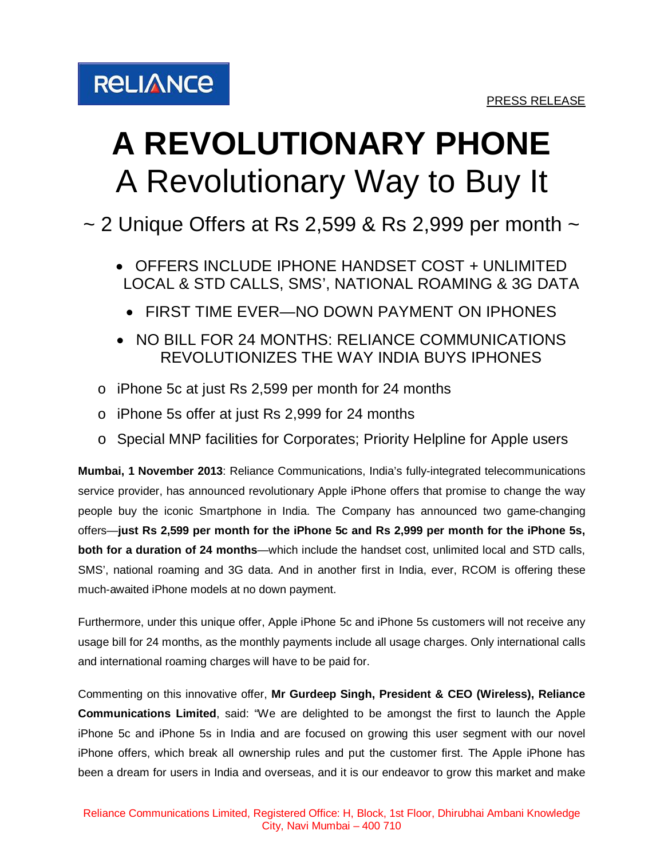

## **A REVOLUTIONARY PHONE** A Revolutionary Way to Buy It

 $\sim$  2 Unique Offers at Rs 2,599 & Rs 2,999 per month  $\sim$ 

- OFFERS INCLUDE IPHONE HANDSET COST + UNLIMITED LOCAL & STD CALLS, SMS', NATIONAL ROAMING & 3G DATA
	- FIRST TIME EVER—NO DOWN PAYMENT ON IPHONES
- NO BILL FOR 24 MONTHS: RELIANCE COMMUNICATIONS REVOLUTIONIZES THE WAY INDIA BUYS IPHONES
- o iPhone 5c at just Rs 2,599 per month for 24 months
- o iPhone 5s offer at just Rs 2,999 for 24 months
- o Special MNP facilities for Corporates; Priority Helpline for Apple users

**Mumbai, 1 November 2013**: Reliance Communications, India's fully-integrated telecommunications service provider, has announced revolutionary Apple iPhone offers that promise to change the way people buy the iconic Smartphone in India. The Company has announced two game-changing offers—**just Rs 2,599 per month for the iPhone 5c and Rs 2,999 per month for the iPhone 5s, both for a duration of 24 months**—which include the handset cost, unlimited local and STD calls, SMS', national roaming and 3G data. And in another first in India, ever, RCOM is offering these much-awaited iPhone models at no down payment.

Furthermore, under this unique offer, Apple iPhone 5c and iPhone 5s customers will not receive any usage bill for 24 months, as the monthly payments include all usage charges. Only international calls and international roaming charges will have to be paid for.

Commenting on this innovative offer, **Mr Gurdeep Singh, President & CEO (Wireless), Reliance Communications Limited**, said: "We are delighted to be amongst the first to launch the Apple iPhone 5c and iPhone 5s in India and are focused on growing this user segment with our novel iPhone offers, which break all ownership rules and put the customer first. The Apple iPhone has been a dream for users in India and overseas, and it is our endeavor to grow this market and make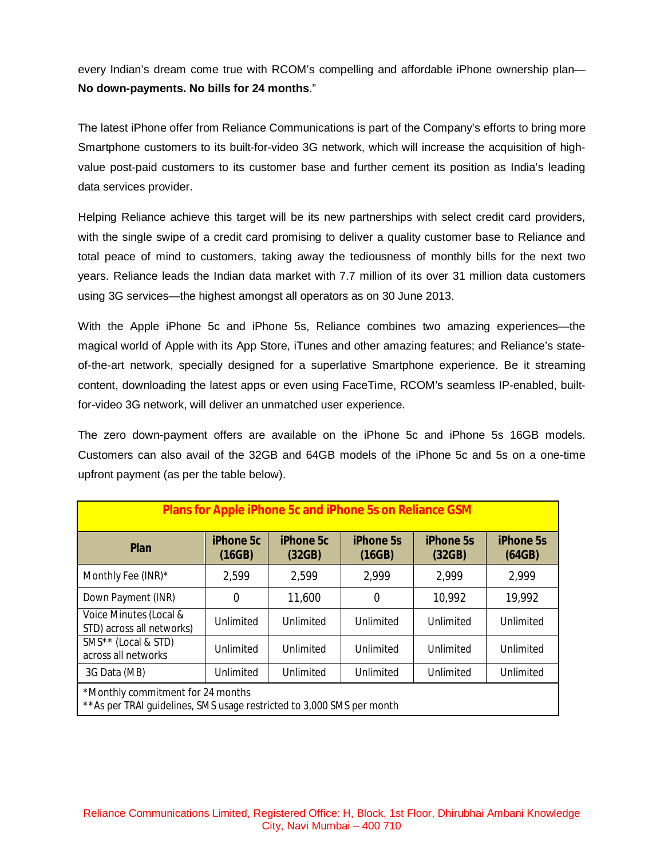every Indian's dream come true with RCOM's compelling and affordable iPhone ownership plan— **No down-payments. No bills for 24 months**."

The latest iPhone offer from Reliance Communications is part of the Company's efforts to bring more Smartphone customers to its built-for-video 3G network, which will increase the acquisition of highvalue post-paid customers to its customer base and further cement its position as India's leading data services provider.

Helping Reliance achieve this target will be its new partnerships with select credit card providers, with the single swipe of a credit card promising to deliver a quality customer base to Reliance and total peace of mind to customers, taking away the tediousness of monthly bills for the next two years. Reliance leads the Indian data market with 7.7 million of its over 31 million data customers using 3G services—the highest amongst all operators as on 30 June 2013.

With the Apple iPhone 5c and iPhone 5s, Reliance combines two amazing experiences—the magical world of Apple with its App Store, iTunes and other amazing features; and Reliance's stateof-the-art network, specially designed for a superlative Smartphone experience. Be it streaming content, downloading the latest apps or even using FaceTime, RCOM's seamless IP-enabled, builtfor-video 3G network, will deliver an unmatched user experience.

The zero down-payment offers are available on the iPhone 5c and iPhone 5s 16GB models. Customers can also avail of the 32GB and 64GB models of the iPhone 5c and 5s on a one-time upfront payment (as per the table below).

| <b>Plans for Apple iPhone 5c and iPhone 5s on Reliance GSM</b>                                              |                            |                            |                            |                            |                            |  |
|-------------------------------------------------------------------------------------------------------------|----------------------------|----------------------------|----------------------------|----------------------------|----------------------------|--|
| <b>Plan</b>                                                                                                 | <b>iPhone 5c</b><br>(16GB) | <b>iPhone 5c</b><br>(32GB) | <b>iPhone 5s</b><br>(16GB) | <b>iPhone 5s</b><br>(32GB) | <b>iPhone 5s</b><br>(64GB) |  |
| Monthly Fee (INR)*                                                                                          | 2,599                      | 2,599                      | 2,999                      | 2,999                      | 2,999                      |  |
| Down Payment (INR)                                                                                          | 0                          | 11,600                     | 0                          | 10,992                     | 19,992                     |  |
| Voice Minutes (Local &<br>STD) across all networks)                                                         | Unlimited                  | Unlimited                  | Unlimited                  | Unlimited                  | Unlimited                  |  |
| SMS <sup>**</sup> (Local & STD)<br>across all networks                                                      | Unlimited                  | Unlimited                  | Unlimited                  | Unlimited                  | Unlimited                  |  |
| 3G Data (MB)                                                                                                | Unlimited                  | Unlimited                  | Unlimited                  | Unlimited                  | Unlimited                  |  |
| *Monthly commitment for 24 months<br>** As per TRAI guidelines, SMS usage restricted to 3,000 SMS per month |                            |                            |                            |                            |                            |  |